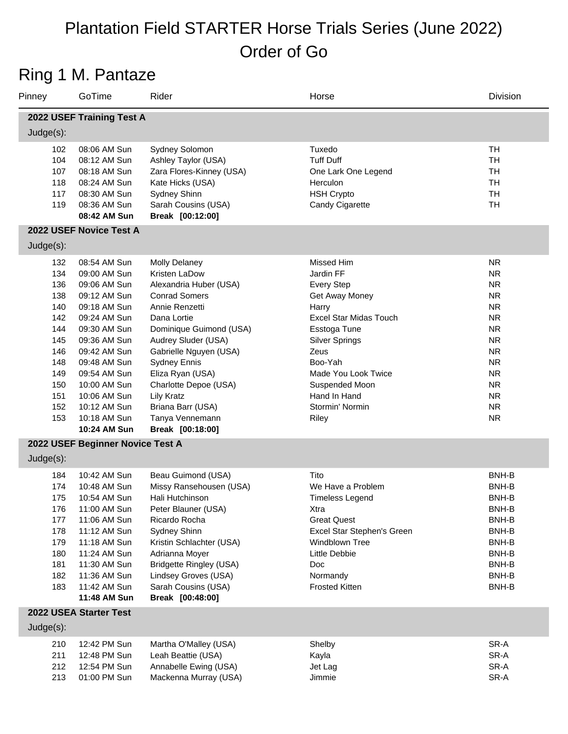### Ring 1 M. Pantaze

| Pinney                                                                                                | GoTime                                                                                                                                                                                                                                                       | Rider                                                                                                                                                                                                                                                                                                                                                     | Horse                                                                                                                                                                                                                                                     | Division                                                                                                                                                                                        |
|-------------------------------------------------------------------------------------------------------|--------------------------------------------------------------------------------------------------------------------------------------------------------------------------------------------------------------------------------------------------------------|-----------------------------------------------------------------------------------------------------------------------------------------------------------------------------------------------------------------------------------------------------------------------------------------------------------------------------------------------------------|-----------------------------------------------------------------------------------------------------------------------------------------------------------------------------------------------------------------------------------------------------------|-------------------------------------------------------------------------------------------------------------------------------------------------------------------------------------------------|
|                                                                                                       | 2022 USEF Training Test A                                                                                                                                                                                                                                    |                                                                                                                                                                                                                                                                                                                                                           |                                                                                                                                                                                                                                                           |                                                                                                                                                                                                 |
| Judge(s):                                                                                             |                                                                                                                                                                                                                                                              |                                                                                                                                                                                                                                                                                                                                                           |                                                                                                                                                                                                                                                           |                                                                                                                                                                                                 |
| 102<br>104<br>107<br>118<br>117<br>119                                                                | 08:06 AM Sun<br>08:12 AM Sun<br>08:18 AM Sun<br>08:24 AM Sun<br>08:30 AM Sun<br>08:36 AM Sun<br>08:42 AM Sun<br>2022 USEF Novice Test A                                                                                                                      | Sydney Solomon<br>Ashley Taylor (USA)<br>Zara Flores-Kinney (USA)<br>Kate Hicks (USA)<br>Sydney Shinn<br>Sarah Cousins (USA)<br>Break [00:12:00]                                                                                                                                                                                                          | Tuxedo<br><b>Tuff Duff</b><br>One Lark One Legend<br>Herculon<br><b>HSH Crypto</b><br>Candy Cigarette                                                                                                                                                     | <b>TH</b><br><b>TH</b><br><b>TH</b><br><b>TH</b><br><b>TH</b><br><b>TH</b>                                                                                                                      |
| $Judge(s)$ :                                                                                          |                                                                                                                                                                                                                                                              |                                                                                                                                                                                                                                                                                                                                                           |                                                                                                                                                                                                                                                           |                                                                                                                                                                                                 |
| 132<br>134<br>136<br>138<br>140<br>142<br>144<br>145<br>146<br>148<br>149<br>150<br>151<br>152<br>153 | 08:54 AM Sun<br>09:00 AM Sun<br>09:06 AM Sun<br>09:12 AM Sun<br>09:18 AM Sun<br>09:24 AM Sun<br>09:30 AM Sun<br>09:36 AM Sun<br>09:42 AM Sun<br>09:48 AM Sun<br>09:54 AM Sun<br>10:00 AM Sun<br>10:06 AM Sun<br>10:12 AM Sun<br>10:18 AM Sun<br>10:24 AM Sun | <b>Molly Delaney</b><br>Kristen LaDow<br>Alexandria Huber (USA)<br><b>Conrad Somers</b><br>Annie Renzetti<br>Dana Lortie<br>Dominique Guimond (USA)<br>Audrey Sluder (USA)<br>Gabrielle Nguyen (USA)<br><b>Sydney Ennis</b><br>Eliza Ryan (USA)<br>Charlotte Depoe (USA)<br><b>Lily Kratz</b><br>Briana Barr (USA)<br>Tanya Vennemann<br>Break [00:18:00] | Missed Him<br>Jardin FF<br><b>Every Step</b><br>Get Away Money<br>Harry<br><b>Excel Star Midas Touch</b><br>Esstoga Tune<br><b>Silver Springs</b><br>Zeus<br>Boo-Yah<br>Made You Look Twice<br>Suspended Moon<br>Hand In Hand<br>Stormin' Normin<br>Riley | <b>NR</b><br><b>NR</b><br><b>NR</b><br><b>NR</b><br><b>NR</b><br><b>NR</b><br><b>NR</b><br><b>NR</b><br><b>NR</b><br><b>NR</b><br><b>NR</b><br><b>NR</b><br><b>NR</b><br><b>NR</b><br><b>NR</b> |
|                                                                                                       | 2022 USEF Beginner Novice Test A                                                                                                                                                                                                                             |                                                                                                                                                                                                                                                                                                                                                           |                                                                                                                                                                                                                                                           |                                                                                                                                                                                                 |
| Judge(s):                                                                                             |                                                                                                                                                                                                                                                              |                                                                                                                                                                                                                                                                                                                                                           |                                                                                                                                                                                                                                                           |                                                                                                                                                                                                 |
| 184<br>174<br>175<br>176<br>177<br>178<br>179<br>180<br>181<br>182<br>183                             | 10:42 AM Sun<br>10:48 AM Sun<br>10:54 AM Sun<br>11:00 AM Sun<br>11:06 AM Sun<br>11:12 AM Sun<br>11:18 AM Sun<br>11:24 AM Sun<br>11:30 AM Sun<br>11:36 AM Sun<br>11:42 AM Sun<br>11:48 AM Sun                                                                 | Beau Guimond (USA)<br>Missy Ransehousen (USA)<br>Hali Hutchinson<br>Peter Blauner (USA)<br>Ricardo Rocha<br>Sydney Shinn<br>Kristin Schlachter (USA)<br>Adrianna Moyer<br><b>Bridgette Ringley (USA)</b><br>Lindsey Groves (USA)<br>Sarah Cousins (USA)<br>Break [00:48:00]                                                                               | Tito<br>We Have a Problem<br><b>Timeless Legend</b><br>Xtra<br><b>Great Quest</b><br>Excel Star Stephen's Green<br>Windblown Tree<br>Little Debbie<br><b>Doc</b><br>Normandy<br><b>Frosted Kitten</b>                                                     | BNH-B<br>BNH-B<br>BNH-B<br>BNH-B<br>BNH-B<br>BNH-B<br>BNH-B<br>BNH-B<br>BNH-B<br>BNH-B<br>BNH-B                                                                                                 |
| Judge(s):                                                                                             | 2022 USEA Starter Test                                                                                                                                                                                                                                       |                                                                                                                                                                                                                                                                                                                                                           |                                                                                                                                                                                                                                                           |                                                                                                                                                                                                 |
| 210<br>211<br>212<br>213                                                                              | 12:42 PM Sun<br>12:48 PM Sun<br>12:54 PM Sun<br>01:00 PM Sun                                                                                                                                                                                                 | Martha O'Malley (USA)<br>Leah Beattie (USA)<br>Annabelle Ewing (USA)<br>Mackenna Murray (USA)                                                                                                                                                                                                                                                             | Shelby<br>Kayla<br>Jet Lag<br>Jimmie                                                                                                                                                                                                                      | SR-A<br>SR-A<br>SR-A<br>SR-A                                                                                                                                                                    |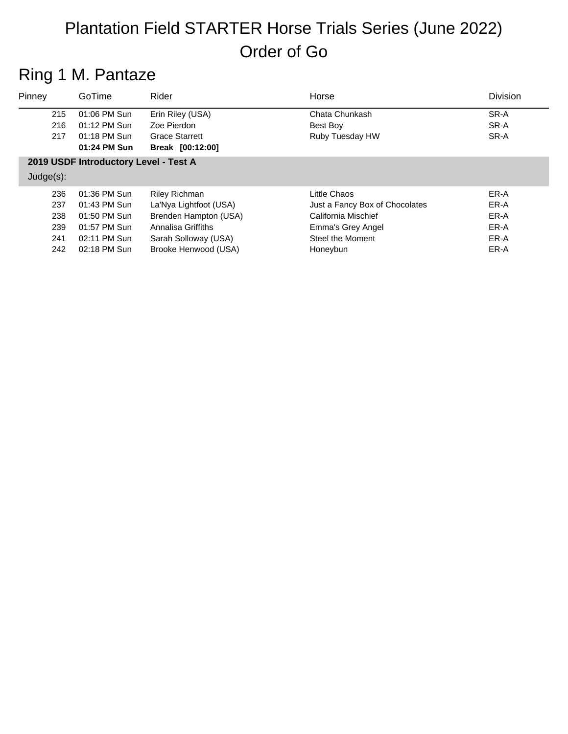### Ring 1 M. Pantaze

| Pinney       | GoTime                                | Rider                  | Horse                          | <b>Division</b> |
|--------------|---------------------------------------|------------------------|--------------------------------|-----------------|
| 215          | 01:06 PM Sun                          | Erin Riley (USA)       | Chata Chunkash                 | SR-A            |
| 216          | 01:12 PM Sun                          | Zoe Pierdon            | Best Boy                       | SR-A            |
| 217          | 01:18 PM Sun                          | <b>Grace Starrett</b>  | Ruby Tuesday HW                | SR-A            |
|              | 01:24 PM Sun                          | Break [00:12:00]       |                                |                 |
|              | 2019 USDF Introductory Level - Test A |                        |                                |                 |
| $Judge(s)$ : |                                       |                        |                                |                 |
| 236          | 01:36 PM Sun                          | <b>Riley Richman</b>   | Little Chaos                   | ER-A            |
| 237          | 01:43 PM Sun                          | La'Nya Lightfoot (USA) | Just a Fancy Box of Chocolates | ER-A            |
| 238          | 01:50 PM Sun                          | Brenden Hampton (USA)  | California Mischief            | ER-A            |

|     | וווטט וויו טכב   | DIGITUCIT LIQIIIDIUI (USA) | <b>UQIIIUI IIIQ IVIISUIIIEI</b> | LN-A |
|-----|------------------|----------------------------|---------------------------------|------|
|     | 239 01:57 PM Sun | Annalisa Griffiths         | Emma's Grey Angel               | ER-A |
| 241 | 02:11 PM Sun     | Sarah Solloway (USA)       | Steel the Moment                | ER-A |
| 242 | 02:18 PM Sun     | Brooke Henwood (USA)       | Honeybun                        | ER-A |
|     |                  |                            |                                 |      |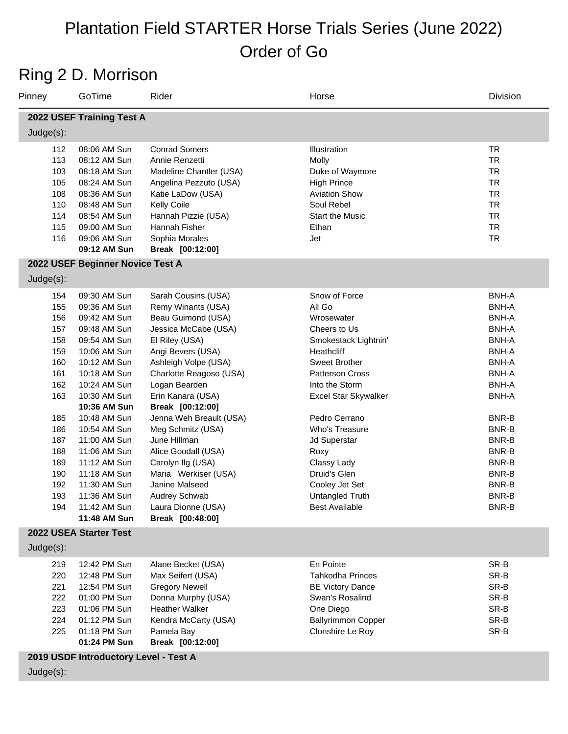### Ring 2 D. Morrison

| Pinney       | GoTime                                | Rider                   | Horse                       | Division     |
|--------------|---------------------------------------|-------------------------|-----------------------------|--------------|
|              | 2022 USEF Training Test A             |                         |                             |              |
| $Judge(s)$ : |                                       |                         |                             |              |
| 112          | 08:06 AM Sun                          | <b>Conrad Somers</b>    | Illustration                | <b>TR</b>    |
| 113          | 08:12 AM Sun                          | Annie Renzetti          | Molly                       | <b>TR</b>    |
| 103          | 08:18 AM Sun                          | Madeline Chantler (USA) | Duke of Waymore             | <b>TR</b>    |
| 105          | 08:24 AM Sun                          | Angelina Pezzuto (USA)  | <b>High Prince</b>          | <b>TR</b>    |
| 108          | 08:36 AM Sun                          | Katie LaDow (USA)       | <b>Aviation Show</b>        | <b>TR</b>    |
| 110          | 08:48 AM Sun                          | <b>Kelly Coile</b>      | Soul Rebel                  | <b>TR</b>    |
| 114          | 08:54 AM Sun                          | Hannah Pizzie (USA)     | <b>Start the Music</b>      | <b>TR</b>    |
| 115          | 09:00 AM Sun                          | Hannah Fisher           | Ethan                       | <b>TR</b>    |
| 116          | 09:06 AM Sun                          | Sophia Morales          | Jet                         | <b>TR</b>    |
|              | 09:12 AM Sun                          | Break [00:12:00]        |                             |              |
|              | 2022 USEF Beginner Novice Test A      |                         |                             |              |
| $Judge(s)$ : |                                       |                         |                             |              |
| 154          | 09:30 AM Sun                          | Sarah Cousins (USA)     | Snow of Force               | <b>BNH-A</b> |
| 155          | 09:36 AM Sun                          | Remy Winants (USA)      | All Go                      | <b>BNH-A</b> |
| 156          | 09:42 AM Sun                          | Beau Guimond (USA)      | Wrosewater                  | <b>BNH-A</b> |
| 157          | 09:48 AM Sun                          | Jessica McCabe (USA)    | Cheers to Us                | <b>BNH-A</b> |
| 158          | 09:54 AM Sun                          | El Riley (USA)          | Smokestack Lightnin'        | <b>BNH-A</b> |
| 159          | 10:06 AM Sun                          | Angi Bevers (USA)       | Heathcliff                  | <b>BNH-A</b> |
| 160          | 10:12 AM Sun                          | Ashleigh Volpe (USA)    | <b>Sweet Brother</b>        | <b>BNH-A</b> |
| 161          | 10:18 AM Sun                          | Charlotte Reagoso (USA) | <b>Patterson Cross</b>      | <b>BNH-A</b> |
| 162          | 10:24 AM Sun                          | Logan Bearden           | Into the Storm              | <b>BNH-A</b> |
| 163          | 10:30 AM Sun                          | Erin Kanara (USA)       | <b>Excel Star Skywalker</b> | <b>BNH-A</b> |
|              | 10:36 AM Sun                          | Break [00:12:00]        |                             |              |
| 185          | 10:48 AM Sun                          | Jenna Weh Breault (USA) | Pedro Cerrano               | BNR-B        |
| 186          | 10:54 AM Sun                          | Meg Schmitz (USA)       | Who's Treasure              | BNR-B        |
| 187          | 11:00 AM Sun                          | June Hillman            | Jd Superstar                | BNR-B        |
| 188          | 11:06 AM Sun                          | Alice Goodall (USA)     | Roxy                        | BNR-B        |
| 189          | 11:12 AM Sun                          | Carolyn Ilg (USA)       | Classy Lady                 | BNR-B        |
| 190          | 11:18 AM Sun                          | Maria Werkiser (USA)    | Druid's Glen                | BNR-B        |
| 192          | 11:30 AM Sun                          | Janine Malseed          | Cooley Jet Set              | BNR-B        |
| 193          | 11:36 AM Sun                          | Audrey Schwab           | Untangled Truth             | BNR-B        |
| 194          | 11:42 AM Sun                          | Laura Dionne (USA)      | <b>Best Available</b>       | BNR-B        |
|              | 11:48 AM Sun                          | Break [00:48:00]        |                             |              |
|              | 2022 USEA Starter Test                |                         |                             |              |
| Judge(s):    |                                       |                         |                             |              |
| 219          | 12:42 PM Sun                          | Alane Becket (USA)      | En Pointe                   | SR-B         |
| 220          | 12:48 PM Sun                          | Max Seifert (USA)       | <b>Tahkodha Princes</b>     | SR-B         |
| 221          | 12:54 PM Sun                          | <b>Gregory Newell</b>   | <b>BE Victory Dance</b>     | SR-B         |
| 222          | 01:00 PM Sun                          | Donna Murphy (USA)      | Swan's Rosalind             | SR-B         |
| 223          | 01:06 PM Sun                          | Heather Walker          | One Diego                   | SR-B         |
| 224          | 01:12 PM Sun                          | Kendra McCarty (USA)    | <b>Ballyrimmon Copper</b>   | SR-B         |
| 225          | 01:18 PM Sun                          | Pamela Bay              | Clonshire Le Roy            | SR-B         |
|              | 01:24 PM Sun                          | Break [00:12:00]        |                             |              |
|              | 2019 USDF Introductory Level - Test A |                         |                             |              |
|              |                                       |                         |                             |              |

Judge(s):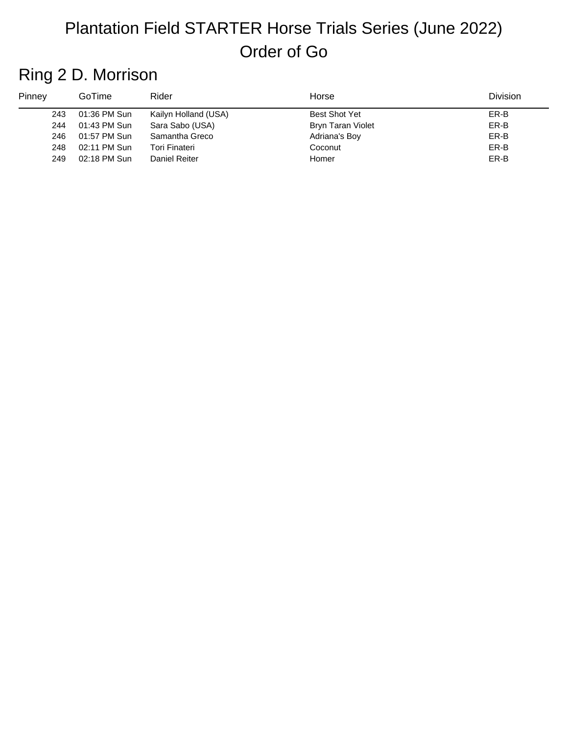### Ring 2 D. Morrison

| Pinney | GoTime       | Rider                | Horse                | <b>Division</b> |
|--------|--------------|----------------------|----------------------|-----------------|
| 243    | 01:36 PM Sun | Kailyn Holland (USA) | <b>Best Shot Yet</b> | ER-B            |
| 244    | 01:43 PM Sun | Sara Sabo (USA)      | Bryn Taran Violet    | ER-B            |
| 246    | 01:57 PM Sun | Samantha Greco       | Adriana's Boy        | ER-B            |
| 248    | 02:11 PM Sun | Tori Finateri        | Coconut              | ER-B            |
| 249    | 02:18 PM Sun | Daniel Reiter        | Homer                | ER-B            |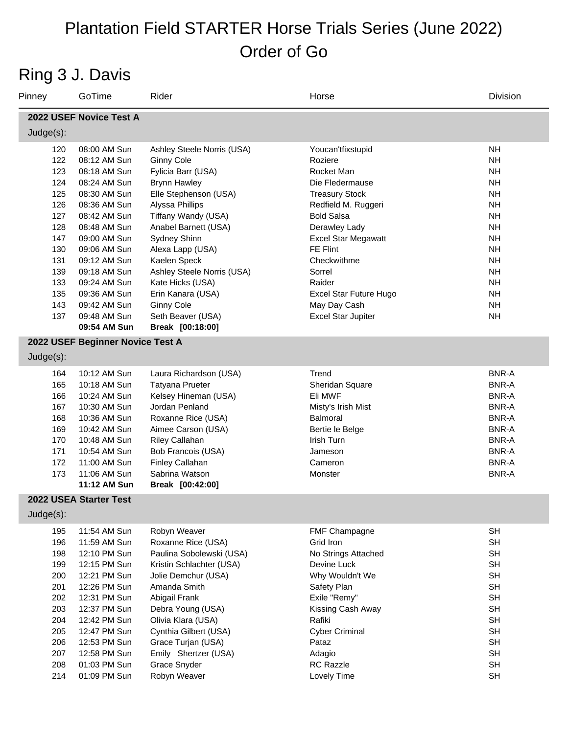### Ring 3 J. Davis

| Pinney                  | GoTime                           | Rider                      | Horse                      | Division     |  |  |
|-------------------------|----------------------------------|----------------------------|----------------------------|--------------|--|--|
| 2022 USEF Novice Test A |                                  |                            |                            |              |  |  |
| $Judge(s)$ :            |                                  |                            |                            |              |  |  |
| 120                     | 08:00 AM Sun                     | Ashley Steele Norris (USA) | Youcan'tfixstupid          | <b>NH</b>    |  |  |
| 122                     | 08:12 AM Sun                     | <b>Ginny Cole</b>          | Roziere                    | <b>NH</b>    |  |  |
| 123                     | 08:18 AM Sun                     | Fylicia Barr (USA)         | Rocket Man                 | <b>NH</b>    |  |  |
| 124                     | 08:24 AM Sun                     | <b>Brynn Hawley</b>        | Die Fledermause            | <b>NH</b>    |  |  |
| 125                     | 08:30 AM Sun                     | Elle Stephenson (USA)      | <b>Treasury Stock</b>      | <b>NH</b>    |  |  |
| 126                     | 08:36 AM Sun                     | Alyssa Phillips            | Redfield M. Ruggeri        | <b>NH</b>    |  |  |
| 127                     | 08:42 AM Sun                     | Tiffany Wandy (USA)        | <b>Bold Salsa</b>          | <b>NH</b>    |  |  |
| 128                     | 08:48 AM Sun                     | Anabel Barnett (USA)       | Derawley Lady              | <b>NH</b>    |  |  |
| 147                     | 09:00 AM Sun                     | Sydney Shinn               | <b>Excel Star Megawatt</b> | <b>NH</b>    |  |  |
| 130                     | 09:06 AM Sun                     | Alexa Lapp (USA)           | FE Flint                   | <b>NH</b>    |  |  |
| 131                     | 09:12 AM Sun                     | Kaelen Speck               | Checkwithme                | <b>NH</b>    |  |  |
| 139                     | 09:18 AM Sun                     | Ashley Steele Norris (USA) | Sorrel                     | <b>NH</b>    |  |  |
| 133                     | 09:24 AM Sun                     | Kate Hicks (USA)           | Raider                     | <b>NH</b>    |  |  |
| 135                     | 09:36 AM Sun                     | Erin Kanara (USA)          | Excel Star Future Hugo     | <b>NH</b>    |  |  |
| 143                     | 09:42 AM Sun                     | <b>Ginny Cole</b>          | May Day Cash               | <b>NH</b>    |  |  |
| 137                     | 09:48 AM Sun                     | Seth Beaver (USA)          | <b>Excel Star Jupiter</b>  | <b>NH</b>    |  |  |
|                         | 09:54 AM Sun                     | Break [00:18:00]           |                            |              |  |  |
|                         | 2022 USEF Beginner Novice Test A |                            |                            |              |  |  |
| $Judge(s)$ :            |                                  |                            |                            |              |  |  |
| 164                     | 10:12 AM Sun                     | Laura Richardson (USA)     | Trend                      | <b>BNR-A</b> |  |  |
| 165                     | 10:18 AM Sun                     | <b>Tatyana Prueter</b>     | Sheridan Square            | <b>BNR-A</b> |  |  |
| 166                     | 10:24 AM Sun                     | Kelsey Hineman (USA)       | Eli MWF                    | <b>BNR-A</b> |  |  |
| 167                     | 10:30 AM Sun                     | Jordan Penland             | Misty's Irish Mist         | <b>BNR-A</b> |  |  |
| 168                     | 10:36 AM Sun                     | Roxanne Rice (USA)         | <b>Balmoral</b>            | <b>BNR-A</b> |  |  |
| 169                     | 10:42 AM Sun                     | Aimee Carson (USA)         | Bertie le Belge            | <b>BNR-A</b> |  |  |
| 170                     | 10:48 AM Sun                     | Riley Callahan             | Irish Turn                 | BNR-A        |  |  |
| 171                     | 10:54 AM Sun                     | Bob Francois (USA)         | Jameson                    | BNR-A        |  |  |
| 172                     | 11:00 AM Sun                     | Finley Callahan            | Cameron                    | <b>BNR-A</b> |  |  |
| 173                     | 11:06 AM Sun                     | Sabrina Watson             | Monster                    | <b>BNR-A</b> |  |  |
|                         | 11:12 AM Sun                     | Break [00:42:00]           |                            |              |  |  |
|                         | 2022 USEA Starter Test           |                            |                            |              |  |  |
| Judge(s):               |                                  |                            |                            |              |  |  |
| 195                     | 11:54 AM Sun                     | Robyn Weaver               | FMF Champagne              | <b>SH</b>    |  |  |
| 196                     | 11:59 AM Sun                     | Roxanne Rice (USA)         | Grid Iron                  | SH           |  |  |
| 198                     | 12:10 PM Sun                     | Paulina Sobolewski (USA)   | No Strings Attached        | SH           |  |  |
| 199                     | 12:15 PM Sun                     | Kristin Schlachter (USA)   | Devine Luck                | <b>SH</b>    |  |  |
| 200                     | 12:21 PM Sun                     | Jolie Demchur (USA)        | Why Wouldn't We            | SH           |  |  |
| 201                     | 12:26 PM Sun                     | Amanda Smith               | Safety Plan                | SH           |  |  |
| 202                     | 12:31 PM Sun                     | Abigail Frank              | Exile "Remy"               | <b>SH</b>    |  |  |
| 203                     | 12:37 PM Sun                     | Debra Young (USA)          | Kissing Cash Away          | SH           |  |  |
| 204                     | 12:42 PM Sun                     | Olivia Klara (USA)         | Rafiki                     | SH           |  |  |
| 205                     | 12:47 PM Sun                     | Cynthia Gilbert (USA)      | <b>Cyber Criminal</b>      | SH           |  |  |
| 206                     | 12:53 PM Sun                     | Grace Turjan (USA)         | Pataz                      | SH           |  |  |
| 207                     | 12:58 PM Sun                     | Emily Shertzer (USA)       | Adagio                     | SH           |  |  |
| 208                     | 01:03 PM Sun                     | Grace Snyder               | <b>RC Razzle</b>           | SH           |  |  |
| 214                     | 01:09 PM Sun                     | Robyn Weaver               | Lovely Time                | <b>SH</b>    |  |  |
|                         |                                  |                            |                            |              |  |  |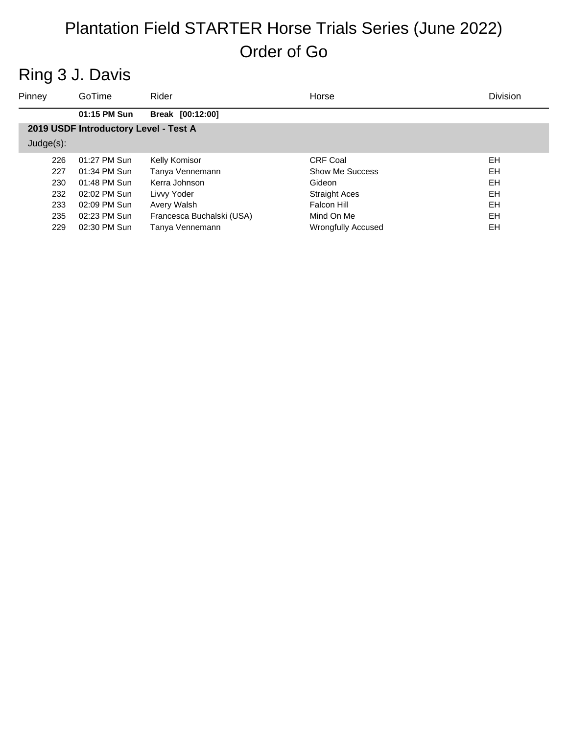### Ring 3 J. Davis

| Pinney       | GoTime                                | Rider                     | Horse                     | Division  |  |  |
|--------------|---------------------------------------|---------------------------|---------------------------|-----------|--|--|
|              | 01:15 PM Sun                          | Break [00:12:00]          |                           |           |  |  |
|              | 2019 USDF Introductory Level - Test A |                           |                           |           |  |  |
| $Judge(s)$ : |                                       |                           |                           |           |  |  |
| 226          | 01:27 PM Sun                          | Kelly Komisor             | <b>CRF Coal</b>           | EH        |  |  |
| 227          | 01:34 PM Sun                          | Tanya Vennemann           | Show Me Success           | EH        |  |  |
| 230          | 01:48 PM Sun                          | Kerra Johnson             | Gideon                    | <b>EH</b> |  |  |
| 232          | 02:02 PM Sun                          | Livvy Yoder               | <b>Straight Aces</b>      | EH        |  |  |
| 233          | 02:09 PM Sun                          | Avery Walsh               | Falcon Hill               | EH        |  |  |
| 235          | 02:23 PM Sun                          | Francesca Buchalski (USA) | Mind On Me                | EH        |  |  |
| 229          | 02:30 PM Sun                          | Tanya Vennemann           | <b>Wrongfully Accused</b> | EH        |  |  |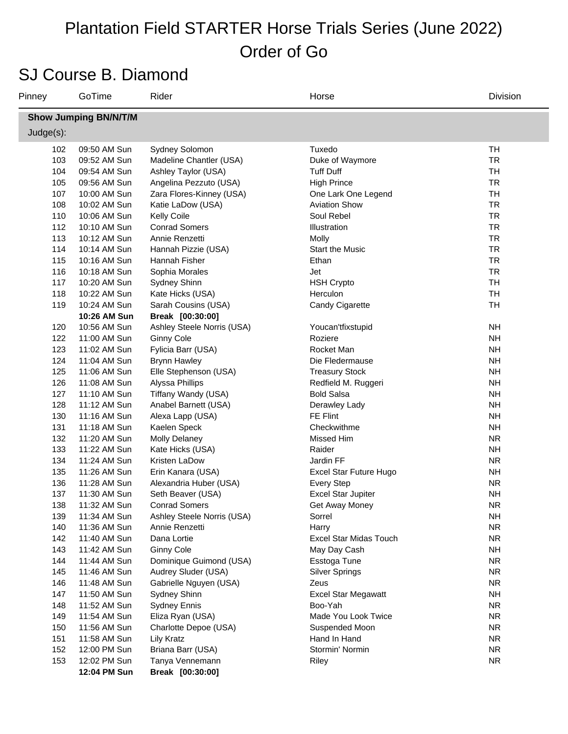### SJ Course B. Diamond

| Pinney                       | GoTime                       | Rider                             | Horse                      | Division               |  |  |  |  |
|------------------------------|------------------------------|-----------------------------------|----------------------------|------------------------|--|--|--|--|
| <b>Show Jumping BN/N/T/M</b> |                              |                                   |                            |                        |  |  |  |  |
| Judge(s):                    |                              |                                   |                            |                        |  |  |  |  |
| 102                          | 09:50 AM Sun                 | Sydney Solomon                    | Tuxedo                     | TH                     |  |  |  |  |
| 103                          | 09:52 AM Sun                 | Madeline Chantler (USA)           | Duke of Waymore            | <b>TR</b>              |  |  |  |  |
| 104                          | 09:54 AM Sun                 | Ashley Taylor (USA)               | <b>Tuff Duff</b>           | <b>TH</b>              |  |  |  |  |
| 105                          | 09:56 AM Sun                 | Angelina Pezzuto (USA)            | <b>High Prince</b>         | <b>TR</b>              |  |  |  |  |
| 107                          | 10:00 AM Sun                 | Zara Flores-Kinney (USA)          | One Lark One Legend        | <b>TH</b>              |  |  |  |  |
| 108                          | 10:02 AM Sun                 | Katie LaDow (USA)                 | <b>Aviation Show</b>       | <b>TR</b>              |  |  |  |  |
| 110                          | 10:06 AM Sun                 | <b>Kelly Coile</b>                | Soul Rebel                 | <b>TR</b>              |  |  |  |  |
| 112                          | 10:10 AM Sun                 | <b>Conrad Somers</b>              | Illustration               | <b>TR</b>              |  |  |  |  |
| 113                          | 10:12 AM Sun                 | Annie Renzetti                    | Molly                      | <b>TR</b>              |  |  |  |  |
| 114                          | 10:14 AM Sun                 | Hannah Pizzie (USA)               | <b>Start the Music</b>     | <b>TR</b>              |  |  |  |  |
| 115                          | 10:16 AM Sun                 | Hannah Fisher                     | Ethan                      | <b>TR</b>              |  |  |  |  |
| 116                          | 10:18 AM Sun                 | Sophia Morales                    | Jet                        | <b>TR</b>              |  |  |  |  |
| 117                          | 10:20 AM Sun                 | Sydney Shinn                      | <b>HSH Crypto</b>          | <b>TH</b>              |  |  |  |  |
| 118                          | 10:22 AM Sun                 | Kate Hicks (USA)                  | Herculon                   | <b>TH</b>              |  |  |  |  |
| 119                          | 10:24 AM Sun                 | Sarah Cousins (USA)               | Candy Cigarette            | <b>TH</b>              |  |  |  |  |
|                              | 10:26 AM Sun                 | Break [00:30:00]                  |                            |                        |  |  |  |  |
| 120                          | 10:56 AM Sun                 | Ashley Steele Norris (USA)        | Youcan'tfixstupid          | <b>NH</b>              |  |  |  |  |
| 122                          | 11:00 AM Sun                 | <b>Ginny Cole</b>                 | Roziere                    | <b>NH</b>              |  |  |  |  |
| 123                          | 11:02 AM Sun                 | Fylicia Barr (USA)                | Rocket Man                 | <b>NH</b>              |  |  |  |  |
| 124                          | 11:04 AM Sun                 | <b>Brynn Hawley</b>               | Die Fledermause            | <b>NH</b>              |  |  |  |  |
| 125                          | 11:06 AM Sun                 | Elle Stephenson (USA)             | <b>Treasury Stock</b>      | <b>NH</b>              |  |  |  |  |
| 126                          | 11:08 AM Sun                 | Alyssa Phillips                   | Redfield M. Ruggeri        | <b>NH</b>              |  |  |  |  |
| 127                          | 11:10 AM Sun                 | Tiffany Wandy (USA)               | <b>Bold Salsa</b>          | <b>NH</b>              |  |  |  |  |
| 128                          | 11:12 AM Sun                 | Anabel Barnett (USA)              | Derawley Lady              | <b>NH</b>              |  |  |  |  |
| 130                          | 11:16 AM Sun                 | Alexa Lapp (USA)                  | FE Flint                   | <b>NH</b>              |  |  |  |  |
| 131                          | 11:18 AM Sun                 | Kaelen Speck                      | Checkwithme                | <b>NH</b><br><b>NR</b> |  |  |  |  |
| 132<br>133                   | 11:20 AM Sun<br>11:22 AM Sun | <b>Molly Delaney</b>              | Missed Him<br>Raider       | <b>NH</b>              |  |  |  |  |
| 134                          | 11:24 AM Sun                 | Kate Hicks (USA)<br>Kristen LaDow | Jardin FF                  | <b>NR</b>              |  |  |  |  |
| 135                          | 11:26 AM Sun                 | Erin Kanara (USA)                 | Excel Star Future Hugo     | <b>NH</b>              |  |  |  |  |
| 136                          | 11:28 AM Sun                 | Alexandria Huber (USA)            | <b>Every Step</b>          | <b>NR</b>              |  |  |  |  |
| 137                          | 11:30 AM Sun                 | Seth Beaver (USA)                 | <b>Excel Star Jupiter</b>  | <b>NH</b>              |  |  |  |  |
| 138                          | 11:32 AM Sun                 | <b>Conrad Somers</b>              | Get Away Money             | <b>NR</b>              |  |  |  |  |
| 139                          | 11:34 AM Sun                 | Ashley Steele Norris (USA)        | Sorrel                     | NΗ                     |  |  |  |  |
| 140                          | 11:36 AM Sun                 | Annie Renzetti                    | Harry                      | <b>NR</b>              |  |  |  |  |
| 142                          | 11:40 AM Sun                 | Dana Lortie                       | Excel Star Midas Touch     | <b>NR</b>              |  |  |  |  |
| 143                          | 11:42 AM Sun                 | <b>Ginny Cole</b>                 | May Day Cash               | <b>NH</b>              |  |  |  |  |
| 144                          | 11:44 AM Sun                 | Dominique Guimond (USA)           | Esstoga Tune               | <b>NR</b>              |  |  |  |  |
| 145                          | 11:46 AM Sun                 | Audrey Sluder (USA)               | <b>Silver Springs</b>      | <b>NR</b>              |  |  |  |  |
| 146                          | 11:48 AM Sun                 | Gabrielle Nguyen (USA)            | Zeus                       | <b>NR</b>              |  |  |  |  |
| 147                          | 11:50 AM Sun                 | Sydney Shinn                      | <b>Excel Star Megawatt</b> | <b>NH</b>              |  |  |  |  |
| 148                          | 11:52 AM Sun                 | <b>Sydney Ennis</b>               | Boo-Yah                    | <b>NR</b>              |  |  |  |  |
| 149                          | 11:54 AM Sun                 | Eliza Ryan (USA)                  | Made You Look Twice        | <b>NR</b>              |  |  |  |  |
| 150                          | 11:56 AM Sun                 | Charlotte Depoe (USA)             | Suspended Moon             | <b>NR</b>              |  |  |  |  |
| 151                          | 11:58 AM Sun                 | <b>Lily Kratz</b>                 | Hand In Hand               | <b>NR</b>              |  |  |  |  |
| 152                          | 12:00 PM Sun                 | Briana Barr (USA)                 | Stormin' Normin            | <b>NR</b>              |  |  |  |  |
| 153                          | 12:02 PM Sun                 | Tanya Vennemann                   | Riley                      | <b>NR</b>              |  |  |  |  |
|                              | 12:04 PM Sun                 | Break [00:30:00]                  |                            |                        |  |  |  |  |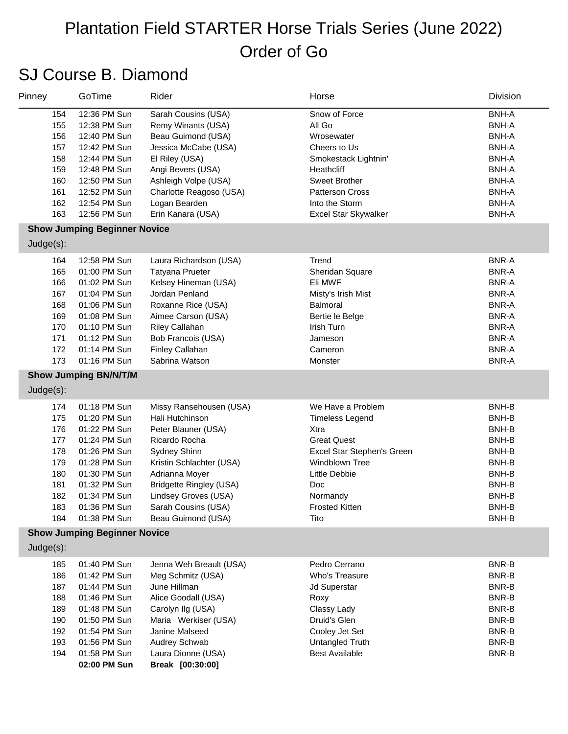### SJ Course B. Diamond

| Pinney                                                                    | GoTime                                                                                                                                                                       | Rider                                                                                                                                                                                                                                            | Horse                                                                                                                                                                                          | Division                                                                                                                                                       |
|---------------------------------------------------------------------------|------------------------------------------------------------------------------------------------------------------------------------------------------------------------------|--------------------------------------------------------------------------------------------------------------------------------------------------------------------------------------------------------------------------------------------------|------------------------------------------------------------------------------------------------------------------------------------------------------------------------------------------------|----------------------------------------------------------------------------------------------------------------------------------------------------------------|
| 154<br>155<br>156<br>157                                                  | 12:36 PM Sun<br>12:38 PM Sun<br>12:40 PM Sun<br>12:42 PM Sun                                                                                                                 | Sarah Cousins (USA)<br>Remy Winants (USA)<br>Beau Guimond (USA)<br>Jessica McCabe (USA)                                                                                                                                                          | Snow of Force<br>All Go<br>Wrosewater<br>Cheers to Us                                                                                                                                          | <b>BNH-A</b><br><b>BNH-A</b><br><b>BNH-A</b><br><b>BNH-A</b>                                                                                                   |
| 158<br>159<br>160<br>161                                                  | 12:44 PM Sun<br>12:48 PM Sun<br>12:50 PM Sun<br>12:52 PM Sun                                                                                                                 | El Riley (USA)<br>Angi Bevers (USA)<br>Ashleigh Volpe (USA)<br>Charlotte Reagoso (USA)                                                                                                                                                           | Smokestack Lightnin'<br>Heathcliff<br>Sweet Brother<br><b>Patterson Cross</b>                                                                                                                  | <b>BNH-A</b><br><b>BNH-A</b><br><b>BNH-A</b><br><b>BNH-A</b>                                                                                                   |
| 162<br>163                                                                | 12:54 PM Sun<br>12:56 PM Sun                                                                                                                                                 | Logan Bearden<br>Erin Kanara (USA)                                                                                                                                                                                                               | Into the Storm<br>Excel Star Skywalker                                                                                                                                                         | <b>BNH-A</b><br><b>BNH-A</b>                                                                                                                                   |
|                                                                           | <b>Show Jumping Beginner Novice</b>                                                                                                                                          |                                                                                                                                                                                                                                                  |                                                                                                                                                                                                |                                                                                                                                                                |
| Judge(s):                                                                 |                                                                                                                                                                              |                                                                                                                                                                                                                                                  |                                                                                                                                                                                                |                                                                                                                                                                |
| 164<br>165<br>166<br>167<br>168<br>169<br>170<br>171<br>172<br>173        | 12:58 PM Sun<br>01:00 PM Sun<br>01:02 PM Sun<br>01:04 PM Sun<br>01:06 PM Sun<br>01:08 PM Sun<br>01:10 PM Sun<br>01:12 PM Sun<br>01:14 PM Sun<br>01:16 PM Sun                 | Laura Richardson (USA)<br><b>Tatyana Prueter</b><br>Kelsey Hineman (USA)<br>Jordan Penland<br>Roxanne Rice (USA)<br>Aimee Carson (USA)<br><b>Riley Callahan</b><br>Bob Francois (USA)<br><b>Finley Callahan</b><br>Sabrina Watson                | Trend<br>Sheridan Square<br>Eli MWF<br>Misty's Irish Mist<br>Balmoral<br>Bertie le Belge<br>Irish Turn<br>Jameson<br>Cameron<br>Monster                                                        | <b>BNR-A</b><br><b>BNR-A</b><br><b>BNR-A</b><br><b>BNR-A</b><br><b>BNR-A</b><br><b>BNR-A</b><br><b>BNR-A</b><br><b>BNR-A</b><br><b>BNR-A</b><br><b>BNR-A</b>   |
|                                                                           | <b>Show Jumping BN/N/T/M</b>                                                                                                                                                 |                                                                                                                                                                                                                                                  |                                                                                                                                                                                                |                                                                                                                                                                |
| Judge(s):                                                                 |                                                                                                                                                                              |                                                                                                                                                                                                                                                  |                                                                                                                                                                                                |                                                                                                                                                                |
| 174<br>175<br>176<br>177<br>178<br>179<br>180<br>181<br>182<br>183<br>184 | 01:18 PM Sun<br>01:20 PM Sun<br>01:22 PM Sun<br>01:24 PM Sun<br>01:26 PM Sun<br>01:28 PM Sun<br>01:30 PM Sun<br>01:32 PM Sun<br>01:34 PM Sun<br>01:36 PM Sun<br>01:38 PM Sun | Missy Ransehousen (USA)<br>Hali Hutchinson<br>Peter Blauner (USA)<br>Ricardo Rocha<br>Sydney Shinn<br>Kristin Schlachter (USA)<br>Adrianna Moyer<br>Bridgette Ringley (USA)<br>Lindsey Groves (USA)<br>Sarah Cousins (USA)<br>Beau Guimond (USA) | We Have a Problem<br><b>Timeless Legend</b><br>Xtra<br><b>Great Quest</b><br>Excel Star Stephen's Green<br>Windblown Tree<br>Little Debbie<br>Doc<br>Normandy<br><b>Frosted Kitten</b><br>Tito | <b>BNH-B</b><br><b>BNH-B</b><br><b>BNH-B</b><br><b>BNH-B</b><br><b>BNH-B</b><br><b>BNH-B</b><br><b>BNH-B</b><br><b>BNH-B</b><br><b>BNH-B</b><br>BNH-B<br>BNH-B |
| Judge(s):                                                                 | <b>Show Jumping Beginner Novice</b>                                                                                                                                          |                                                                                                                                                                                                                                                  |                                                                                                                                                                                                |                                                                                                                                                                |
| 185<br>186<br>187<br>188<br>189<br>190<br>192<br>193<br>194               | 01:40 PM Sun<br>01:42 PM Sun<br>01:44 PM Sun<br>01:46 PM Sun<br>01:48 PM Sun<br>01:50 PM Sun<br>01:54 PM Sun<br>01:56 PM Sun<br>01:58 PM Sun<br>02:00 PM Sun                 | Jenna Weh Breault (USA)<br>Meg Schmitz (USA)<br>June Hillman<br>Alice Goodall (USA)<br>Carolyn Ilg (USA)<br>Maria Werkiser (USA)<br>Janine Malseed<br>Audrey Schwab<br>Laura Dionne (USA)<br>Break [00:30:00]                                    | Pedro Cerrano<br>Who's Treasure<br>Jd Superstar<br>Roxy<br>Classy Lady<br>Druid's Glen<br>Cooley Jet Set<br>Untangled Truth<br><b>Best Available</b>                                           | <b>BNR-B</b><br>BNR-B<br><b>BNR-B</b><br><b>BNR-B</b><br>BNR-B<br><b>BNR-B</b><br>BNR-B<br>BNR-B<br>BNR-B                                                      |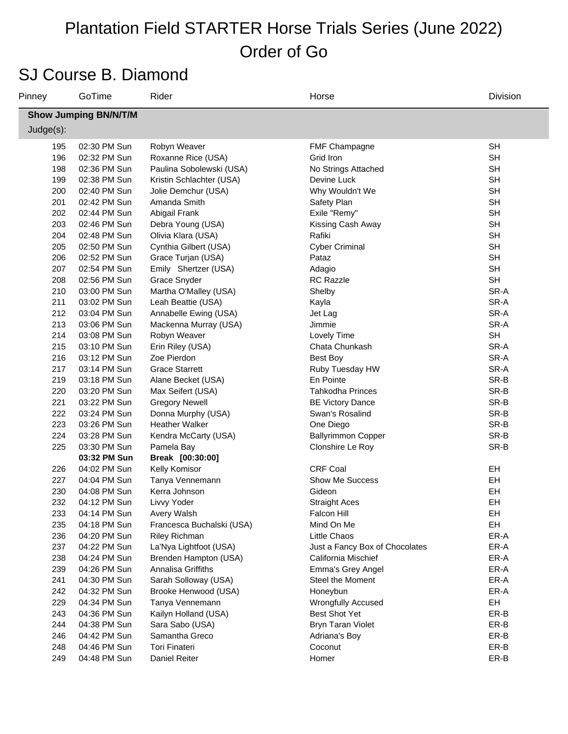### SJ Course B. Diamond

| Pinney    | GoTime                       | Rider                     | Horse                          | Division  |  |  |  |
|-----------|------------------------------|---------------------------|--------------------------------|-----------|--|--|--|
|           | <b>Show Jumping BN/N/T/M</b> |                           |                                |           |  |  |  |
| Judge(s): |                              |                           |                                |           |  |  |  |
| 195       | 02:30 PM Sun                 | Robyn Weaver              | FMF Champagne                  | <b>SH</b> |  |  |  |
| 196       | 02:32 PM Sun                 | Roxanne Rice (USA)        | Grid Iron                      | <b>SH</b> |  |  |  |
| 198       | 02:36 PM Sun                 | Paulina Sobolewski (USA)  | No Strings Attached            | <b>SH</b> |  |  |  |
| 199       | 02:38 PM Sun                 | Kristin Schlachter (USA)  | Devine Luck                    | <b>SH</b> |  |  |  |
| 200       | 02:40 PM Sun                 | Jolie Demchur (USA)       | Why Wouldn't We                | <b>SH</b> |  |  |  |
| 201       | 02:42 PM Sun                 | Amanda Smith              | Safety Plan                    | <b>SH</b> |  |  |  |
| 202       | 02:44 PM Sun                 | Abigail Frank             | Exile "Remy"                   | <b>SH</b> |  |  |  |
| 203       | 02:46 PM Sun                 | Debra Young (USA)         | Kissing Cash Away              | <b>SH</b> |  |  |  |
| 204       | 02:48 PM Sun                 | Olivia Klara (USA)        | Rafiki                         | <b>SH</b> |  |  |  |
| 205       | 02:50 PM Sun                 | Cynthia Gilbert (USA)     | <b>Cyber Criminal</b>          | <b>SH</b> |  |  |  |
| 206       | 02:52 PM Sun                 | Grace Turjan (USA)        | Pataz                          | <b>SH</b> |  |  |  |
| 207       | 02:54 PM Sun                 | Emily Shertzer (USA)      | Adagio                         | <b>SH</b> |  |  |  |
| 208       | 02:56 PM Sun                 | Grace Snyder              | <b>RC Razzle</b>               | <b>SH</b> |  |  |  |
| 210       | 03:00 PM Sun                 | Martha O'Malley (USA)     | Shelby                         | SR-A      |  |  |  |
| 211       | 03:02 PM Sun                 | Leah Beattie (USA)        | Kayla                          | SR-A      |  |  |  |
| 212       | 03:04 PM Sun                 | Annabelle Ewing (USA)     | Jet Lag                        | SR-A      |  |  |  |
| 213       | 03:06 PM Sun                 | Mackenna Murray (USA)     | Jimmie                         | SR-A      |  |  |  |
| 214       | 03:08 PM Sun                 | Robyn Weaver              | Lovely Time                    | <b>SH</b> |  |  |  |
| 215       | 03:10 PM Sun                 | Erin Riley (USA)          | Chata Chunkash                 | SR-A      |  |  |  |
| 216       | 03:12 PM Sun                 | Zoe Pierdon               | Best Boy                       | SR-A      |  |  |  |
| 217       | 03:14 PM Sun                 | <b>Grace Starrett</b>     | Ruby Tuesday HW                | SR-A      |  |  |  |
| 219       | 03:18 PM Sun                 | Alane Becket (USA)        | En Pointe                      | SR-B      |  |  |  |
| 220       | 03:20 PM Sun                 | Max Seifert (USA)         | <b>Tahkodha Princes</b>        | SR-B      |  |  |  |
| 221       | 03:22 PM Sun                 | <b>Gregory Newell</b>     | <b>BE Victory Dance</b>        | SR-B      |  |  |  |
| 222       | 03:24 PM Sun                 | Donna Murphy (USA)        | Swan's Rosalind                | SR-B      |  |  |  |
| 223       | 03:26 PM Sun                 | <b>Heather Walker</b>     | One Diego                      | SR-B      |  |  |  |
| 224       | 03:28 PM Sun                 | Kendra McCarty (USA)      | <b>Ballyrimmon Copper</b>      | SR-B      |  |  |  |
| 225       | 03:30 PM Sun                 | Pamela Bay                | Clonshire Le Roy               | SR-B      |  |  |  |
|           | 03:32 PM Sun                 | Break [00:30:00]          |                                |           |  |  |  |
| 226       | 04:02 PM Sun                 | Kelly Komisor             | <b>CRF Coal</b>                | EH        |  |  |  |
| 227       | 04:04 PM Sun                 | Tanya Vennemann           | <b>Show Me Success</b>         | EH        |  |  |  |
| 230       | 04:08 PM Sun                 | Kerra Johnson             | Gideon                         | EH        |  |  |  |
| 232       | 04:12 PM Sun                 | Livvy Yoder               | <b>Straight Aces</b>           | EH        |  |  |  |
| 233       | 04:14 PM Sun                 | Avery Walsh               | <b>Falcon Hill</b>             | EH        |  |  |  |
| 235       | 04:18 PM Sun                 | Francesca Buchalski (USA) | Mind On Me                     | EH        |  |  |  |
| 236       | 04:20 PM Sun                 | <b>Riley Richman</b>      | Little Chaos                   | ER-A      |  |  |  |
| 237       | 04:22 PM Sun                 | La'Nya Lightfoot (USA)    | Just a Fancy Box of Chocolates | ER-A      |  |  |  |
| 238       | 04:24 PM Sun                 | Brenden Hampton (USA)     | California Mischief            | ER-A      |  |  |  |
| 239       | 04:26 PM Sun                 | Annalisa Griffiths        | Emma's Grey Angel              | ER-A      |  |  |  |
| 241       | 04:30 PM Sun                 | Sarah Solloway (USA)      | Steel the Moment               | ER-A      |  |  |  |
| 242       | 04:32 PM Sun                 | Brooke Henwood (USA)      | Honeybun                       | ER-A      |  |  |  |
| 229       | 04:34 PM Sun                 | Tanya Vennemann           | <b>Wrongfully Accused</b>      | EH        |  |  |  |
| 243       | 04:36 PM Sun                 | Kailyn Holland (USA)      | <b>Best Shot Yet</b>           | ER-B      |  |  |  |
| 244       | 04:38 PM Sun                 | Sara Sabo (USA)           | <b>Bryn Taran Violet</b>       | ER-B      |  |  |  |
| 246       | 04:42 PM Sun                 | Samantha Greco            | Adriana's Boy                  | ER-B      |  |  |  |
| 248       | 04:46 PM Sun                 | Tori Finateri             | Coconut                        | ER-B      |  |  |  |
| 249       | 04:48 PM Sun                 | Daniel Reiter             | Homer                          | ER-B      |  |  |  |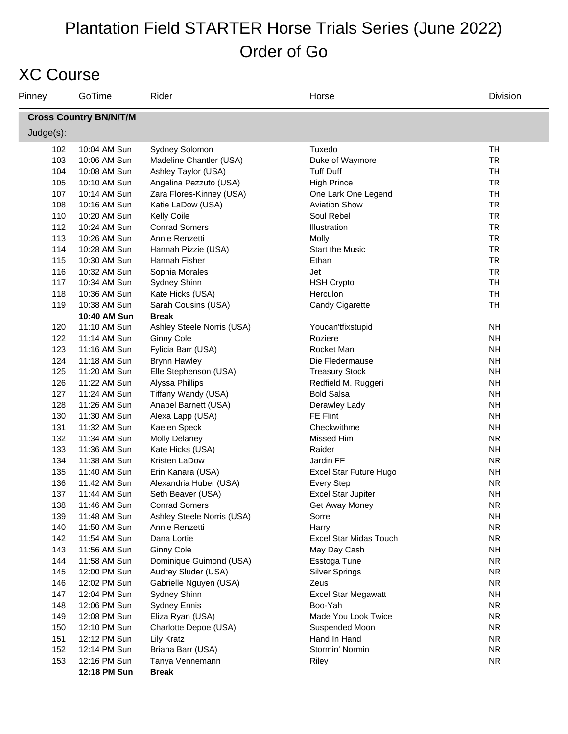### XC Course

| Pinney       | GoTime                        | Rider                      | Horse                      | Division  |  |  |  |  |
|--------------|-------------------------------|----------------------------|----------------------------|-----------|--|--|--|--|
|              | <b>Cross Country BN/N/T/M</b> |                            |                            |           |  |  |  |  |
| $Judge(s)$ : |                               |                            |                            |           |  |  |  |  |
| 102          | 10:04 AM Sun                  | Sydney Solomon             | Tuxedo                     | <b>TH</b> |  |  |  |  |
| 103          | 10:06 AM Sun                  | Madeline Chantler (USA)    | Duke of Waymore            | <b>TR</b> |  |  |  |  |
| 104          | 10:08 AM Sun                  | Ashley Taylor (USA)        | <b>Tuff Duff</b>           | <b>TH</b> |  |  |  |  |
| 105          | 10:10 AM Sun                  | Angelina Pezzuto (USA)     | <b>High Prince</b>         | <b>TR</b> |  |  |  |  |
| 107          | 10:14 AM Sun                  | Zara Flores-Kinney (USA)   | One Lark One Legend        | <b>TH</b> |  |  |  |  |
| 108          | 10:16 AM Sun                  | Katie LaDow (USA)          | <b>Aviation Show</b>       | <b>TR</b> |  |  |  |  |
| 110          | 10:20 AM Sun                  | <b>Kelly Coile</b>         | Soul Rebel                 | <b>TR</b> |  |  |  |  |
| 112          | 10:24 AM Sun                  | <b>Conrad Somers</b>       | Illustration               | <b>TR</b> |  |  |  |  |
| 113          | 10:26 AM Sun                  | Annie Renzetti             | Molly                      | <b>TR</b> |  |  |  |  |
| 114          | 10:28 AM Sun                  | Hannah Pizzie (USA)        | <b>Start the Music</b>     | <b>TR</b> |  |  |  |  |
| 115          | 10:30 AM Sun                  | Hannah Fisher              | Ethan                      | <b>TR</b> |  |  |  |  |
| 116          | 10:32 AM Sun                  | Sophia Morales             | Jet                        | <b>TR</b> |  |  |  |  |
| 117          | 10:34 AM Sun                  | Sydney Shinn               | <b>HSH Crypto</b>          | <b>TH</b> |  |  |  |  |
| 118          | 10:36 AM Sun                  | Kate Hicks (USA)           | Herculon                   | <b>TH</b> |  |  |  |  |
| 119          | 10:38 AM Sun                  | Sarah Cousins (USA)        | Candy Cigarette            | <b>TH</b> |  |  |  |  |
|              | 10:40 AM Sun                  | <b>Break</b>               |                            |           |  |  |  |  |
| 120          | 11:10 AM Sun                  | Ashley Steele Norris (USA) | Youcan'tfixstupid          | <b>NH</b> |  |  |  |  |
| 122          | 11:14 AM Sun                  | <b>Ginny Cole</b>          | Roziere                    | <b>NH</b> |  |  |  |  |
| 123          | 11:16 AM Sun                  | Fylicia Barr (USA)         | Rocket Man                 | <b>NH</b> |  |  |  |  |
| 124          | 11:18 AM Sun                  | <b>Brynn Hawley</b>        | Die Fledermause            | <b>NH</b> |  |  |  |  |
| 125          | 11:20 AM Sun                  | Elle Stephenson (USA)      | <b>Treasury Stock</b>      | <b>NH</b> |  |  |  |  |
| 126          | 11:22 AM Sun                  | Alyssa Phillips            | Redfield M. Ruggeri        | <b>NH</b> |  |  |  |  |
| 127          | 11:24 AM Sun                  | Tiffany Wandy (USA)        | <b>Bold Salsa</b>          | <b>NH</b> |  |  |  |  |
| 128          | 11:26 AM Sun                  | Anabel Barnett (USA)       | Derawley Lady              | <b>NH</b> |  |  |  |  |
| 130          | 11:30 AM Sun                  | Alexa Lapp (USA)           | FE Flint                   | <b>NH</b> |  |  |  |  |
| 131          | 11:32 AM Sun                  | Kaelen Speck               | Checkwithme                | <b>NH</b> |  |  |  |  |
| 132          | 11:34 AM Sun                  | <b>Molly Delaney</b>       | Missed Him                 | <b>NR</b> |  |  |  |  |
| 133          | 11:36 AM Sun                  | Kate Hicks (USA)           | Raider                     | <b>NH</b> |  |  |  |  |
| 134          | 11:38 AM Sun                  | Kristen LaDow              | Jardin FF                  | <b>NR</b> |  |  |  |  |
| 135          | 11:40 AM Sun                  | Erin Kanara (USA)          | Excel Star Future Hugo     | <b>NH</b> |  |  |  |  |
| 136          | 11:42 AM Sun                  | Alexandria Huber (USA)     | <b>Every Step</b>          | <b>NR</b> |  |  |  |  |
| 137          | 11:44 AM Sun                  | Seth Beaver (USA)          | <b>Excel Star Jupiter</b>  | <b>NH</b> |  |  |  |  |
| 138          | 11:46 AM Sun                  | <b>Conrad Somers</b>       | Get Away Money             | <b>NR</b> |  |  |  |  |
| 139          | 11:48 AM Sun                  | Ashley Steele Norris (USA) | Sorrel                     | NΗ        |  |  |  |  |
| 140          | 11:50 AM Sun                  | Annie Renzetti             | Harry                      | <b>NR</b> |  |  |  |  |
| 142          | 11:54 AM Sun                  | Dana Lortie                | Excel Star Midas Touch     | <b>NR</b> |  |  |  |  |
| 143          | 11:56 AM Sun                  | <b>Ginny Cole</b>          | May Day Cash               | <b>NH</b> |  |  |  |  |
| 144          | 11:58 AM Sun                  | Dominique Guimond (USA)    | Esstoga Tune               | <b>NR</b> |  |  |  |  |
| 145          | 12:00 PM Sun                  | Audrey Sluder (USA)        | <b>Silver Springs</b>      | <b>NR</b> |  |  |  |  |
| 146          | 12:02 PM Sun                  | Gabrielle Nguyen (USA)     | Zeus                       | <b>NR</b> |  |  |  |  |
| 147          | 12:04 PM Sun                  | Sydney Shinn               | <b>Excel Star Megawatt</b> | <b>NH</b> |  |  |  |  |
| 148          | 12:06 PM Sun                  | <b>Sydney Ennis</b>        | Boo-Yah                    | <b>NR</b> |  |  |  |  |
| 149          | 12:08 PM Sun                  | Eliza Ryan (USA)           | Made You Look Twice        | <b>NR</b> |  |  |  |  |
| 150          | 12:10 PM Sun                  | Charlotte Depoe (USA)      | Suspended Moon             | <b>NR</b> |  |  |  |  |
| 151          | 12:12 PM Sun                  | <b>Lily Kratz</b>          | Hand In Hand               | <b>NR</b> |  |  |  |  |
| 152          | 12:14 PM Sun                  | Briana Barr (USA)          | Stormin' Normin            | <b>NR</b> |  |  |  |  |
| 153          | 12:16 PM Sun                  | Tanya Vennemann            | Riley                      | <b>NR</b> |  |  |  |  |
|              | 12:18 PM Sun                  | <b>Break</b>               |                            |           |  |  |  |  |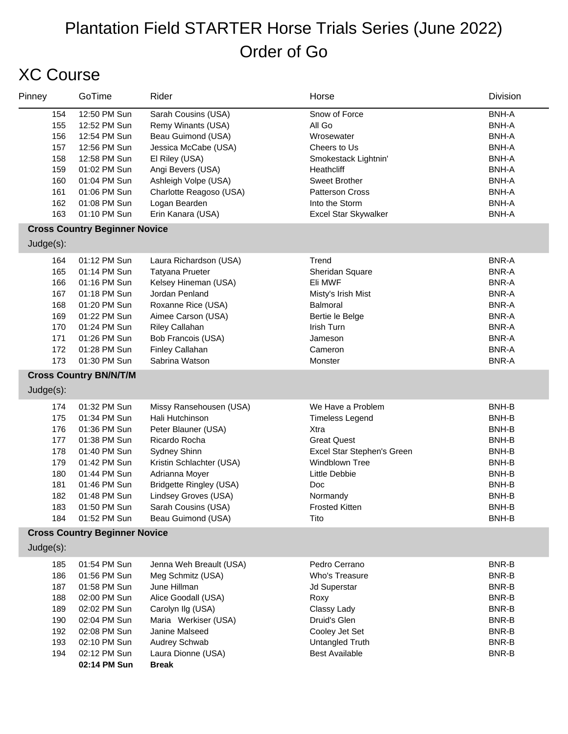# XC Course

| Pinney                                                             | GoTime                                                                                                                                                       | Rider                                                                                                                                                                                                                   | Horse                                                                                                                                                                            | Division                                                                                                                                                     |
|--------------------------------------------------------------------|--------------------------------------------------------------------------------------------------------------------------------------------------------------|-------------------------------------------------------------------------------------------------------------------------------------------------------------------------------------------------------------------------|----------------------------------------------------------------------------------------------------------------------------------------------------------------------------------|--------------------------------------------------------------------------------------------------------------------------------------------------------------|
| 154<br>155<br>156<br>157<br>158<br>159<br>160<br>161<br>162<br>163 | 12:50 PM Sun<br>12:52 PM Sun<br>12:54 PM Sun<br>12:56 PM Sun<br>12:58 PM Sun<br>01:02 PM Sun<br>01:04 PM Sun<br>01:06 PM Sun<br>01:08 PM Sun<br>01:10 PM Sun | Sarah Cousins (USA)<br>Remy Winants (USA)<br>Beau Guimond (USA)<br>Jessica McCabe (USA)<br>El Riley (USA)<br>Angi Bevers (USA)<br>Ashleigh Volpe (USA)<br>Charlotte Reagoso (USA)<br>Logan Bearden<br>Erin Kanara (USA) | Snow of Force<br>All Go<br>Wrosewater<br>Cheers to Us<br>Smokestack Lightnin'<br>Heathcliff<br>Sweet Brother<br>Patterson Cross<br>Into the Storm<br><b>Excel Star Skywalker</b> | <b>BNH-A</b><br><b>BNH-A</b><br><b>BNH-A</b><br><b>BNH-A</b><br><b>BNH-A</b><br><b>BNH-A</b><br><b>BNH-A</b><br><b>BNH-A</b><br><b>BNH-A</b><br><b>BNH-A</b> |
|                                                                    | <b>Cross Country Beginner Novice</b>                                                                                                                         |                                                                                                                                                                                                                         |                                                                                                                                                                                  |                                                                                                                                                              |
| Judge(s):<br>164                                                   | 01:12 PM Sun                                                                                                                                                 | Laura Richardson (USA)                                                                                                                                                                                                  | Trend                                                                                                                                                                            | <b>BNR-A</b>                                                                                                                                                 |
| 165<br>166                                                         | 01:14 PM Sun<br>01:16 PM Sun                                                                                                                                 | <b>Tatyana Prueter</b><br>Kelsey Hineman (USA)                                                                                                                                                                          | Sheridan Square<br>Eli MWF                                                                                                                                                       | <b>BNR-A</b><br><b>BNR-A</b>                                                                                                                                 |
| 167                                                                | 01:18 PM Sun                                                                                                                                                 | Jordan Penland                                                                                                                                                                                                          | Misty's Irish Mist                                                                                                                                                               | <b>BNR-A</b>                                                                                                                                                 |
| 168                                                                | 01:20 PM Sun                                                                                                                                                 | Roxanne Rice (USA)                                                                                                                                                                                                      | Balmoral                                                                                                                                                                         | <b>BNR-A</b>                                                                                                                                                 |
| 169<br>170                                                         | 01:22 PM Sun<br>01:24 PM Sun                                                                                                                                 | Aimee Carson (USA)<br>Riley Callahan                                                                                                                                                                                    | Bertie le Belge<br>Irish Turn                                                                                                                                                    | <b>BNR-A</b><br><b>BNR-A</b>                                                                                                                                 |
| 171                                                                | 01:26 PM Sun                                                                                                                                                 | Bob Francois (USA)                                                                                                                                                                                                      | Jameson                                                                                                                                                                          | <b>BNR-A</b>                                                                                                                                                 |
| 172                                                                | 01:28 PM Sun                                                                                                                                                 | Finley Callahan                                                                                                                                                                                                         | Cameron                                                                                                                                                                          | <b>BNR-A</b>                                                                                                                                                 |
| 173                                                                | 01:30 PM Sun                                                                                                                                                 | Sabrina Watson                                                                                                                                                                                                          | Monster                                                                                                                                                                          | <b>BNR-A</b>                                                                                                                                                 |
| $Judge(s)$ :                                                       | <b>Cross Country BN/N/T/M</b>                                                                                                                                |                                                                                                                                                                                                                         |                                                                                                                                                                                  |                                                                                                                                                              |
|                                                                    |                                                                                                                                                              |                                                                                                                                                                                                                         |                                                                                                                                                                                  |                                                                                                                                                              |
| 174<br>175                                                         | 01:32 PM Sun<br>01:34 PM Sun                                                                                                                                 | Missy Ransehousen (USA)<br>Hali Hutchinson                                                                                                                                                                              | We Have a Problem<br><b>Timeless Legend</b>                                                                                                                                      | BNH-B<br>BNH-B                                                                                                                                               |
| 176                                                                | 01:36 PM Sun                                                                                                                                                 | Peter Blauner (USA)                                                                                                                                                                                                     | Xtra                                                                                                                                                                             | BNH-B                                                                                                                                                        |
| 177                                                                | 01:38 PM Sun                                                                                                                                                 | Ricardo Rocha                                                                                                                                                                                                           | <b>Great Quest</b>                                                                                                                                                               | BNH-B                                                                                                                                                        |
| 178                                                                | 01:40 PM Sun                                                                                                                                                 | Sydney Shinn                                                                                                                                                                                                            | Excel Star Stephen's Green<br><b>Windblown Tree</b>                                                                                                                              | BNH-B                                                                                                                                                        |
| 179<br>180                                                         | 01:42 PM Sun<br>01:44 PM Sun                                                                                                                                 | Kristin Schlachter (USA)<br>Adrianna Moyer                                                                                                                                                                              | Little Debbie                                                                                                                                                                    | BNH-B<br>BNH-B                                                                                                                                               |
| 181                                                                | 01:46 PM Sun                                                                                                                                                 | <b>Bridgette Ringley (USA)</b>                                                                                                                                                                                          | Doc                                                                                                                                                                              | BNH-B                                                                                                                                                        |
| 182                                                                | 01:48 PM Sun                                                                                                                                                 | Lindsey Groves (USA)                                                                                                                                                                                                    | Normandy                                                                                                                                                                         | BNH-B                                                                                                                                                        |
| 183                                                                | 01:50 PM Sun<br>01:52 PM Sun                                                                                                                                 | Sarah Cousins (USA)<br>Beau Guimond (USA)                                                                                                                                                                               | <b>Frosted Kitten</b><br>Tito                                                                                                                                                    | BNH-B<br>BNH-B                                                                                                                                               |
| 184                                                                | <b>Cross Country Beginner Novice</b>                                                                                                                         |                                                                                                                                                                                                                         |                                                                                                                                                                                  |                                                                                                                                                              |
| Judge(s):                                                          |                                                                                                                                                              |                                                                                                                                                                                                                         |                                                                                                                                                                                  |                                                                                                                                                              |
| 185                                                                | 01:54 PM Sun                                                                                                                                                 | Jenna Weh Breault (USA)                                                                                                                                                                                                 | Pedro Cerrano                                                                                                                                                                    | <b>BNR-B</b>                                                                                                                                                 |
| 186<br>187                                                         | 01:56 PM Sun<br>01:58 PM Sun                                                                                                                                 | Meg Schmitz (USA)<br>June Hillman                                                                                                                                                                                       | Who's Treasure<br>Jd Superstar                                                                                                                                                   | <b>BNR-B</b><br><b>BNR-B</b>                                                                                                                                 |
| 188                                                                | 02:00 PM Sun                                                                                                                                                 | Alice Goodall (USA)                                                                                                                                                                                                     | Roxy                                                                                                                                                                             | <b>BNR-B</b>                                                                                                                                                 |
| 189                                                                | 02:02 PM Sun                                                                                                                                                 | Carolyn Ilg (USA)                                                                                                                                                                                                       | Classy Lady                                                                                                                                                                      | <b>BNR-B</b>                                                                                                                                                 |
| 190                                                                | 02:04 PM Sun                                                                                                                                                 | Maria Werkiser (USA)                                                                                                                                                                                                    | Druid's Glen                                                                                                                                                                     | <b>BNR-B</b>                                                                                                                                                 |
| 192                                                                | 02:08 PM Sun                                                                                                                                                 | Janine Malseed                                                                                                                                                                                                          | Cooley Jet Set                                                                                                                                                                   | BNR-B                                                                                                                                                        |
| 193<br>194                                                         | 02:10 PM Sun<br>02:12 PM Sun                                                                                                                                 | Audrey Schwab<br>Laura Dionne (USA)                                                                                                                                                                                     | Untangled Truth<br><b>Best Available</b>                                                                                                                                         | BNR-B<br>BNR-B                                                                                                                                               |
|                                                                    | 02:14 PM Sun                                                                                                                                                 | <b>Break</b>                                                                                                                                                                                                            |                                                                                                                                                                                  |                                                                                                                                                              |